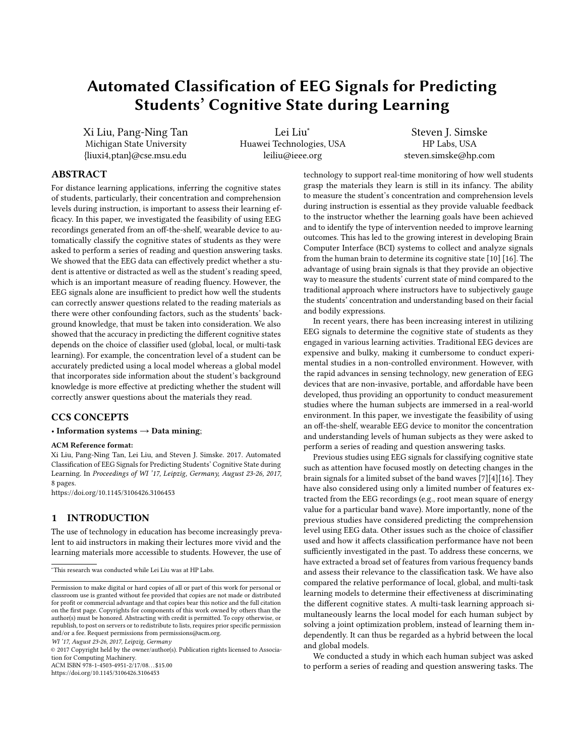# Automated Classification of EEG Signals for Predicting Students' Cognitive State during Learning

Xi Liu, Pang-Ning Tan Michigan State University {liuxi4,ptan}@cse.msu.edu

Lei Liu<sup>∗</sup> Huawei Technologies, USA leiliu@ieee.org

Steven J. Simske HP Labs, USA steven.simske@hp.com

# ABSTRACT

For distance learning applications, inferring the cognitive states of students, particularly, their concentration and comprehension levels during instruction, is important to assess their learning efficacy. In this paper, we investigated the feasibility of using EEG recordings generated from an off-the-shelf, wearable device to automatically classify the cognitive states of students as they were asked to perform a series of reading and question answering tasks. We showed that the EEG data can effectively predict whether a student is attentive or distracted as well as the student's reading speed, which is an important measure of reading fluency. However, the EEG signals alone are insufficient to predict how well the students can correctly answer questions related to the reading materials as there were other confounding factors, such as the students' background knowledge, that must be taken into consideration. We also showed that the accuracy in predicting the different cognitive states depends on the choice of classifier used (global, local, or multi-task learning). For example, the concentration level of a student can be accurately predicted using a local model whereas a global model that incorporates side information about the student's background knowledge is more effective at predicting whether the student will correctly answer questions about the materials they read.

# CCS CONCEPTS

### • Information systems  $\rightarrow$  Data mining;

#### ACM Reference format:

Xi Liu, Pang-Ning Tan, Lei Liu, and Steven J. Simske. 2017. Automated Classification of EEG Signals for Predicting Students' Cognitive State during Learning. In Proceedings of WI '17, Leipzig, Germany, August 23-26, 2017, [8](#page-7-0) pages.

<https://doi.org/10.1145/3106426.3106453>

## 1 INTRODUCTION

The use of technology in education has become increasingly prevalent to aid instructors in making their lectures more vivid and the learning materials more accessible to students. However, the use of

WI '17, August 23-26, 2017, Leipzig, Germany

© 2017 Copyright held by the owner/author(s). Publication rights licensed to Association for Computing Machinery.

ACM ISBN 978-1-4503-4951-2/17/08. . . \$15.00

<https://doi.org/10.1145/3106426.3106453>

technology to support real-time monitoring of how well students grasp the materials they learn is still in its infancy. The ability to measure the student's concentration and comprehension levels during instruction is essential as they provide valuable feedback to the instructor whether the learning goals have been achieved and to identify the type of intervention needed to improve learning outcomes. This has led to the growing interest in developing Brain Computer Interface (BCI) systems to collect and analyze signals from the human brain to determine its cognitive state [\[10\]](#page-7-1) [\[16\]](#page-7-2). The advantage of using brain signals is that they provide an objective way to measure the students' current state of mind compared to the traditional approach where instructors have to subjectively gauge the students' concentration and understanding based on their facial and bodily expressions.

In recent years, there has been increasing interest in utilizing EEG signals to determine the cognitive state of students as they engaged in various learning activities. Traditional EEG devices are expensive and bulky, making it cumbersome to conduct experimental studies in a non-controlled environment. However, with the rapid advances in sensing technology, new generation of EEG devices that are non-invasive, portable, and affordable have been developed, thus providing an opportunity to conduct measurement studies where the human subjects are immersed in a real-world environment. In this paper, we investigate the feasibility of using an off-the-shelf, wearable EEG device to monitor the concentration and understanding levels of human subjects as they were asked to perform a series of reading and question answering tasks.

Previous studies using EEG signals for classifying cognitive state such as attention have focused mostly on detecting changes in the brain signals for a limited subset of the band waves [\[7\]](#page-7-3)[\[4\]](#page-7-4)[\[16\]](#page-7-2). They have also considered using only a limited number of features extracted from the EEG recordings (e.g., root mean square of energy value for a particular band wave). More importantly, none of the previous studies have considered predicting the comprehension level using EEG data. Other issues such as the choice of classifier used and how it affects classification performance have not been sufficiently investigated in the past. To address these concerns, we have extracted a broad set of features from various frequency bands and assess their relevance to the classification task. We have also compared the relative performance of local, global, and multi-task learning models to determine their effectiveness at discriminating the different cognitive states. A multi-task learning approach simultaneously learns the local model for each human subject by solving a joint optimization problem, instead of learning them independently. It can thus be regarded as a hybrid between the local and global models.

We conducted a study in which each human subject was asked to perform a series of reading and question answering tasks. The

<sup>∗</sup>This research was conducted while Lei Liu was at HP Labs.

Permission to make digital or hard copies of all or part of this work for personal or classroom use is granted without fee provided that copies are not made or distributed for profit or commercial advantage and that copies bear this notice and the full citation on the first page. Copyrights for components of this work owned by others than the author(s) must be honored. Abstracting with credit is permitted. To copy otherwise, or republish, to post on servers or to redistribute to lists, requires prior specific permission and/or a fee. Request permissions from permissions@acm.org.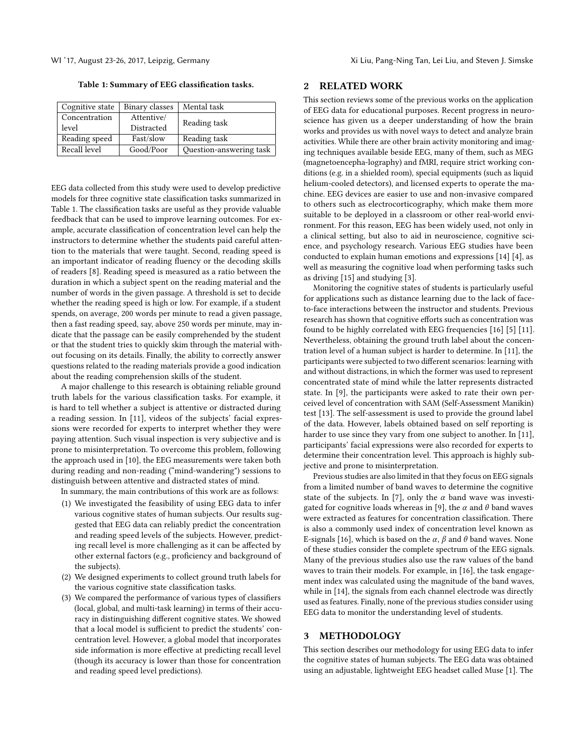<span id="page-1-0"></span>Table 1: Summary of EEG classification tasks.

| Cognitive state | Binary classes | Mental task             |
|-----------------|----------------|-------------------------|
| Concentration   | Attentive/     | Reading task            |
| level           | Distracted     |                         |
| Reading speed   | Fast/slow      | Reading task            |
| Recall level    | Good/Poor      | Question-answering task |

EEG data collected from this study were used to develop predictive models for three cognitive state classification tasks summarized in Table [1.](#page-1-0) The classification tasks are useful as they provide valuable feedback that can be used to improve learning outcomes. For example, accurate classification of concentration level can help the instructors to determine whether the students paid careful attention to the materials that were taught. Second, reading speed is an important indicator of reading fluency or the decoding skills of readers [\[8\]](#page-7-5). Reading speed is measured as a ratio between the duration in which a subject spent on the reading material and the number of words in the given passage. A threshold is set to decide whether the reading speed is high or low. For example, if a student spends, on average, 200 words per minute to read a given passage, then a fast reading speed, say, above 250 words per minute, may indicate that the passage can be easily comprehended by the student or that the student tries to quickly skim through the material without focusing on its details. Finally, the ability to correctly answer questions related to the reading materials provide a good indication about the reading comprehension skills of the student.

A major challenge to this research is obtaining reliable ground truth labels for the various classification tasks. For example, it is hard to tell whether a subject is attentive or distracted during a reading session. In [\[11\]](#page-7-6), videos of the subjects' facial expressions were recorded for experts to interpret whether they were paying attention. Such visual inspection is very subjective and is prone to misinterpretation. To overcome this problem, following the approach used in [\[10\]](#page-7-1), the EEG measurements were taken both during reading and non-reading ("mind-wandering") sessions to distinguish between attentive and distracted states of mind.

In summary, the main contributions of this work are as follows:

- (1) We investigated the feasibility of using EEG data to infer various cognitive states of human subjects. Our results suggested that EEG data can reliably predict the concentration and reading speed levels of the subjects. However, predicting recall level is more challenging as it can be affected by other external factors (e.g., proficiency and background of the subjects).
- (2) We designed experiments to collect ground truth labels for the various cognitive state classification tasks.
- (3) We compared the performance of various types of classifiers (local, global, and multi-task learning) in terms of their accuracy in distinguishing different cognitive states. We showed that a local model is sufficient to predict the students' concentration level. However, a global model that incorporates side information is more effective at predicting recall level (though its accuracy is lower than those for concentration and reading speed level predictions).

#### 2 RELATED WORK

This section reviews some of the previous works on the application of EEG data for educational purposes. Recent progress in neuroscience has given us a deeper understanding of how the brain works and provides us with novel ways to detect and analyze brain activities. While there are other brain activity monitoring and imaging techniques available beside EEG, many of them, such as MEG (magnetoencepha-lography) and fMRI, require strict working conditions (e.g. in a shielded room), special equipments (such as liquid helium-cooled detectors), and licensed experts to operate the machine. EEG devices are easier to use and non-invasive compared to others such as electrocorticography, which make them more suitable to be deployed in a classroom or other real-world environment. For this reason, EEG has been widely used, not only in a clinical setting, but also to aid in neuroscience, cognitive science, and psychology research. Various EEG studies have been conducted to explain human emotions and expressions [\[14\]](#page-7-7) [\[4\]](#page-7-4), as well as measuring the cognitive load when performing tasks such as driving [\[15\]](#page-7-8) and studying [\[3\]](#page-7-9).

Monitoring the cognitive states of students is particularly useful for applications such as distance learning due to the lack of faceto-face interactions between the instructor and students. Previous research has shown that cognitive efforts such as concentration was found to be highly correlated with EEG frequencies [\[16\]](#page-7-2) [\[5\]](#page-7-10) [\[11\]](#page-7-6). Nevertheless, obtaining the ground truth label about the concentration level of a human subject is harder to determine. In [\[11\]](#page-7-6), the participants were subjected to two different scenarios: learning with and without distractions, in which the former was used to represent concentrated state of mind while the latter represents distracted state. In [\[9\]](#page-7-11), the participants were asked to rate their own perceived level of concentration with SAM (Self-Assessment Manikin) test [\[13\]](#page-7-12). The self-assessment is used to provide the ground label of the data. However, labels obtained based on self reporting is harder to use since they vary from one subject to another. In [\[11\]](#page-7-6), participants' facial expressions were also recorded for experts to determine their concentration level. This approach is highly subjective and prone to misinterpretation.

Previous studies are also limited in that they focus on EEG signals from a limited number of band waves to determine the cognitive state of the subjects. In [\[7\]](#page-7-3), only the  $\alpha$  band wave was investi-gated for cognitive loads whereas in [\[9\]](#page-7-11), the  $\alpha$  and  $\theta$  band waves were extracted as features for concentration classification. There is also a commonly used index of concentration level known as E-signals [\[16\]](#page-7-2), which is based on the  $\alpha$ ,  $\beta$  and  $\theta$  band waves. None of these studies consider the complete spectrum of the EEG signals. Many of the previous studies also use the raw values of the band waves to train their models. For example, in [\[16\]](#page-7-2), the task engagement index was calculated using the magnitude of the band waves, while in [\[14\]](#page-7-7), the signals from each channel electrode was directly used as features. Finally, none of the previous studies consider using EEG data to monitor the understanding level of students.

## 3 METHODOLOGY

This section describes our methodology for using EEG data to infer the cognitive states of human subjects. The EEG data was obtained using an adjustable, lightweight EEG headset called Muse [\[1\]](#page-7-13). The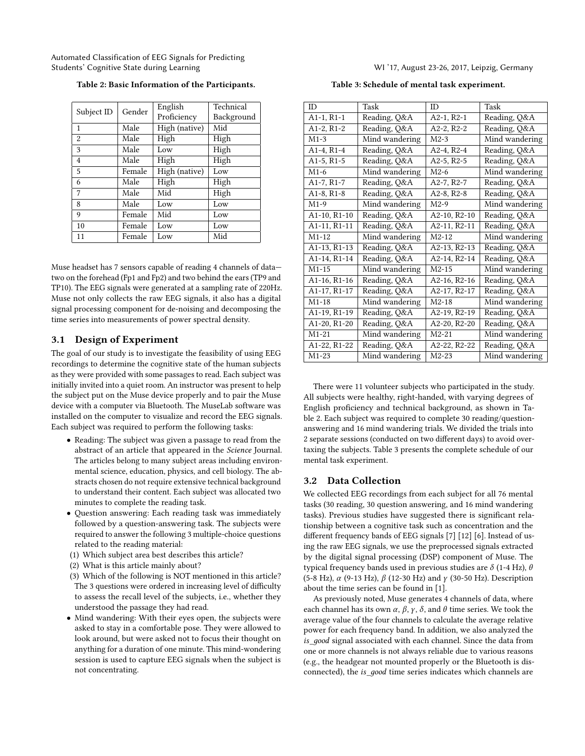<span id="page-2-0"></span>Automated Classification of EEG Signals for Predicting Students' Cognitive State during Learning WI '17, August 23-26, 2017, Leipzig, Germany

|                | Gender | English       | Technical  |
|----------------|--------|---------------|------------|
| Subject ID     |        | Proficiency   | Background |
| 1              | Male   | High (native) | Mid        |
| $\overline{2}$ | Male   | High          | High       |
| 3              | Male   | Low           | High       |
| 4              | Male   | High          | High       |
| 5              | Female | High (native) | Low        |
| 6              | Male   | High          | High       |
| 7              | Male   | Mid           | High       |
| 8              | Male   | Low           | Low        |
| 9              | Female | Mid           | Low        |
| 10             | Female | Low           | Low        |
| 11             | Female | Low           | Mid        |

Table 2: Basic Information of the Participants.

Muse headset has 7 sensors capable of reading 4 channels of data two on the forehead (Fp1 and Fp2) and two behind the ears (TP9 and TP10). The EEG signals were generated at a sampling rate of 220Hz. Muse not only collects the raw EEG signals, it also has a digital signal processing component for de-noising and decomposing the time series into measurements of power spectral density.

#### 3.1 Design of Experiment

The goal of our study is to investigate the feasibility of using EEG recordings to determine the cognitive state of the human subjects as they were provided with some passages to read. Each subject was initially invited into a quiet room. An instructor was present to help the subject put on the Muse device properly and to pair the Muse device with a computer via Bluetooth. The MuseLab software was installed on the computer to visualize and record the EEG signals. Each subject was required to perform the following tasks:

- Reading: The subject was given a passage to read from the abstract of an article that appeared in the Science Journal. The articles belong to many subject areas including environmental science, education, physics, and cell biology. The abstracts chosen do not require extensive technical background to understand their content. Each subject was allocated two minutes to complete the reading task.
- Question answering: Each reading task was immediately followed by a question-answering task. The subjects were required to answer the following 3 multiple-choice questions related to the reading material:
- (1) Which subject area best describes this article?
- (2) What is this article mainly about?
- (3) Which of the following is NOT mentioned in this article? The 3 questions were ordered in increasing level of difficulty to assess the recall level of the subjects, i.e., whether they understood the passage they had read.
- Mind wandering: With their eyes open, the subjects were asked to stay in a comfortable pose. They were allowed to look around, but were asked not to focus their thought on anything for a duration of one minute. This mind-wondering session is used to capture EEG signals when the subject is not concentrating.

Table 3: Schedule of mental task experiment.

<span id="page-2-1"></span>

| ID                                     | Task           | <b>ID</b>    | Task           |
|----------------------------------------|----------------|--------------|----------------|
| $A1-1, R1-1$                           | Reading, Q&A   | $A2-1, R2-1$ | Reading, Q&A   |
| A <sub>1</sub> -2, R <sub>1</sub> -2   | Reading, Q&A   | $A2-2, R2-2$ | Reading, Q&A   |
| $M1-3$                                 | Mind wandering | $M2-3$       | Mind wandering |
| A <sub>1</sub> -4, R <sub>1</sub> -4   | Reading, Q&A   | $A2-4, R2-4$ | Reading, Q&A   |
| $A1-5, R1-5$                           | Reading, Q&A   | $A2-5, R2-5$ | Reading, Q&A   |
| $M1-6$                                 | Mind wandering | $M2-6$       | Mind wandering |
| $A1-7, R1-7$                           | Reading, Q&A   | $A2-7, R2-7$ | Reading, Q&A   |
| A <sub>1</sub> -8, R <sub>1</sub> -8   | Reading, Q&A   | $A2-8, R2-8$ | Reading, Q&A   |
| $M1-9$                                 | Mind wandering | $M2-9$       | Mind wandering |
| A1-10, R1-10                           | Reading, Q&A   | A2-10, R2-10 | Reading, Q&A   |
| A1-11, R1-11                           | Reading, Q&A   | A2-11, R2-11 | Reading, Q&A   |
| $M1-12$                                | Mind wandering | $M2-12$      | Mind wandering |
| A1-13, R1-13                           | Reading, Q&A   | A2-13, R2-13 | Reading, Q&A   |
| A <sub>1</sub> -14, R <sub>1</sub> -14 | Reading, Q&A   | A2-14, R2-14 | Reading, Q&A   |
| $M1-15$                                | Mind wandering | $M2-15$      | Mind wandering |
| A1-16, R1-16                           | Reading, Q&A   | A2-16, R2-16 | Reading, Q&A   |
| A1-17, R1-17                           | Reading, Q&A   | A2-17, R2-17 | Reading, Q&A   |
| $M1-18$                                | Mind wandering | $M2-18$      | Mind wandering |
| A1-19, R1-19                           | Reading, Q&A   | A2-19, R2-19 | Reading, Q&A   |
| A1-20, R1-20                           | Reading, Q&A   | A2-20, R2-20 | Reading, Q&A   |
| $M1-21$                                | Mind wandering | $M2-21$      | Mind wandering |
| A1-22, R1-22                           | Reading, Q&A   | A2-22, R2-22 | Reading, Q&A   |
| $M1-23$                                | Mind wandering | $M2-23$      | Mind wandering |
|                                        |                |              |                |

There were 11 volunteer subjects who participated in the study. All subjects were healthy, right-handed, with varying degrees of English proficiency and technical background, as shown in Table [2.](#page-2-0) Each subject was required to complete 30 reading/questionanswering and 16 mind wandering trials. We divided the trials into 2 separate sessions (conducted on two different days) to avoid overtaxing the subjects. Table [3](#page-2-1) presents the complete schedule of our mental task experiment.

#### <span id="page-2-2"></span>3.2 Data Collection

We collected EEG recordings from each subject for all 76 mental tasks (30 reading, 30 question answering, and 16 mind wandering tasks). Previous studies have suggested there is significant relationship between a cognitive task such as concentration and the different frequency bands of EEG signals [\[7\]](#page-7-3) [\[12\]](#page-7-14) [\[6\]](#page-7-15). Instead of using the raw EEG signals, we use the preprocessed signals extracted by the digital signal processing (DSP) component of Muse. The typical frequency bands used in previous studies are  $\delta$  (1-4 Hz),  $\theta$ (5-8 Hz), α (9-13 Hz), β (12-30 Hz) and γ (30-50 Hz). Description about the time series can be found in [\[1\]](#page-7-13).

As previously noted, Muse generates 4 channels of data, where each channel has its own  $\alpha$ ,  $\beta$ ,  $\gamma$ ,  $\delta$ , and  $\theta$  time series. We took the average value of the four channels to calculate the average relative power for each frequency band. In addition, we also analyzed the is\_дood signal associated with each channel. Since the data from one or more channels is not always reliable due to various reasons (e.g., the headgear not mounted properly or the Bluetooth is disconnected), the *is\_good* time series indicates which channels are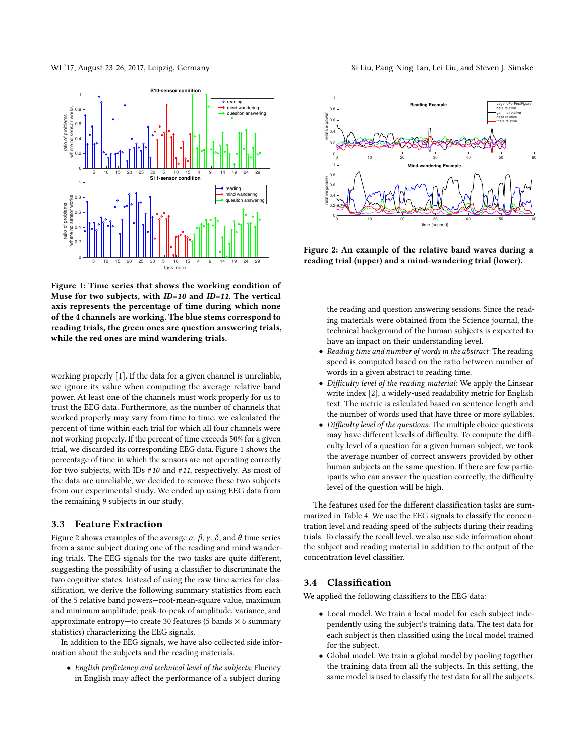<span id="page-3-0"></span>

Figure 1: Time series that shows the working condition of Muse for two subjects, with ID=10 and ID=11. The vertical axis represents the percentage of time during which none of the 4 channels are working. The blue stems correspond to reading trials, the green ones are question answering trials, while the red ones are mind wandering trials.

working properly [\[1\]](#page-7-13). If the data for a given channel is unreliable, we ignore its value when computing the average relative band power. At least one of the channels must work properly for us to trust the EEG data. Furthermore, as the number of channels that worked properly may vary from time to time, we calculated the percent of time within each trial for which all four channels were not working properly. If the percent of time exceeds 50% for a given trial, we discarded its corresponding EEG data. Figure [1](#page-3-0) shows the percentage of time in which the sensors are not operating correctly for two subjects, with IDs #10 and #11, respectively. As most of the data are unreliable, we decided to remove these two subjects from our experimental study. We ended up using EEG data from the remaining 9 subjects in our study.

#### 3.3 Feature Extraction

Figure [2](#page-3-1) shows examples of the average  $\alpha$ ,  $\beta$ ,  $\gamma$ ,  $\delta$ , and  $\theta$  time series from a same subject during one of the reading and mind wandering trials. The EEG signals for the two tasks are quite different, suggesting the possibility of using a classifier to discriminate the two cognitive states. Instead of using the raw time series for classification, we derive the following summary statistics from each of the 5 relative band powers—root-mean-square value, maximum and minimum amplitude, peak-to-peak of amplitude, variance, and approximate entropy—to create 30 features (5 bands  $\times$  6 summary statistics) characterizing the EEG signals.

In addition to the EEG signals, we have also collected side information about the subjects and the reading materials.

• English proficiency and technical level of the subjects: Fluency in English may affect the performance of a subject during

<span id="page-3-1"></span>

Figure 2: An example of the relative band waves during a reading trial (upper) and a mind-wandering trial (lower).

the reading and question answering sessions. Since the reading materials were obtained from the Science journal, the technical background of the human subjects is expected to have an impact on their understanding level.

- Reading time and number of words in the abstract: The reading speed is computed based on the ratio between number of words in a given abstract to reading time.
- Difficulty level of the reading material: We apply the Linsear write index [\[2\]](#page-7-16), a widely-used readability metric for English text. The metric is calculated based on sentence length and the number of words used that have three or more syllables.
- Difficulty level of the questions: The multiple choice questions may have different levels of difficulty. To compute the difficulty level of a question for a given human subject, we took the average number of correct answers provided by other human subjects on the same question. If there are few participants who can answer the question correctly, the difficulty level of the question will be high.

The features used for the different classification tasks are summarized in Table [4.](#page-4-0) We use the EEG signals to classify the concentration level and reading speed of the subjects during their reading trials. To classify the recall level, we also use side information about the subject and reading material in addition to the output of the concentration level classifier.

## 3.4 Classification

We applied the following classifiers to the EEG data:

- Local model. We train a local model for each subject independently using the subject's training data. The test data for each subject is then classified using the local model trained for the subject.
- Global model. We train a global model by pooling together the training data from all the subjects. In this setting, the same model is used to classify the test data for all the subjects.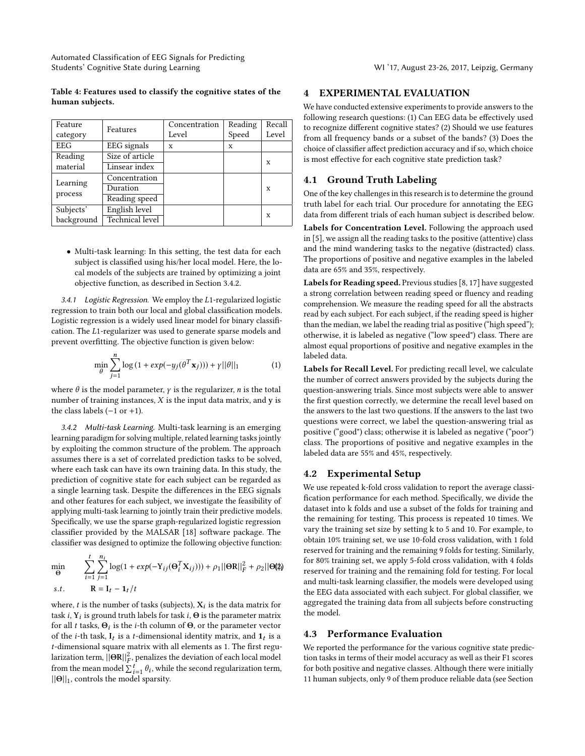Automated Classification of EEG Signals for Predicting Students' Cognitive State during Learning WI '17, August 23-26, 2017, Leipzig, Germany

#### <span id="page-4-0"></span>Table 4: Features used to classify the cognitive states of the human subjects.

| Feature    |                        | Concentration | Reading | Recall |
|------------|------------------------|---------------|---------|--------|
| category   | Features               | Level         | Speed   | Level  |
| EEG        | <b>EEG</b> signals     | X             | X       |        |
| Reading    | Size of article        |               |         | X      |
| material   | Linsear index          |               |         |        |
| Learning   | Concentration          |               |         |        |
| process    | Duration               |               |         | X      |
|            | Reading speed          |               |         |        |
| Subjects'  | English level          |               |         |        |
| background | <b>Technical level</b> |               |         | x      |

• Multi-task learning: In this setting, the test data for each subject is classified using his/her local model. Here, the local models of the subjects are trained by optimizing a joint objective function, as described in Section [3.4.2.](#page-4-1)

3.4.1 Logistic Regression. We employ the L1-regularized logistic regression to train both our local and global classification models. Logistic regression is a widely used linear model for binary classification. The L1-regularizer was used to generate sparse models and prevent overfitting. The objective function is given below:

$$
\min_{\theta} \sum_{j=1}^{n} \log \left( 1 + \exp(-y_j(\theta^T \mathbf{x}_j)) \right) + \gamma ||\theta||_1 \tag{1}
$$

where  $\theta$  is the model parameter,  $\gamma$  is the regularizer, *n* is the total number of training instances,  $X$  is the input data matrix, and  $y$  is the class labels  $(-1$  or  $+1$ ).

<span id="page-4-1"></span>3.4.2 Multi-task Learning. Multi-task learning is an emerging learning paradigm for solving multiple, related learning tasks jointly by exploiting the common structure of the problem. The approach assumes there is a set of correlated prediction tasks to be solved, where each task can have its own training data. In this study, the prediction of cognitive state for each subject can be regarded as a single learning task. Despite the differences in the EEG signals and other features for each subject, we investigate the feasibility of applying multi-task learning to jointly train their predictive models. Specifically, we use the sparse graph-regularized logistic regression classifier provided by the MALSAR [\[18\]](#page-7-17) software package. The classifier was designed to optimize the following objective function:

$$
\min_{\Theta} \qquad \sum_{i=1}^{t} \sum_{j=1}^{n_i} \log(1 + exp(-Y_{ij}(\Theta_i^T X_{ij}))) + \rho_1 ||\Theta R||_F^2 + \rho_2 ||\Theta \|\|_F^2
$$
\n
$$
s.t. \qquad R = I_t - I_t/t
$$

where,  $t$  is the number of tasks (subjects),  $\mathbf{X}_i$  is the data matrix for task  $i$ ,  $\mathbf{Y}_i$  is ground truth labels for task  $i$ ,  $\boldsymbol{\Theta}$  is the parameter matrix for all  $t$  tasks,  $\Theta_i$  is the  $i$ -th column of  $\Theta$ , or the parameter vector of the *i*-th task,  $I_t$  is a *t*-dimensional identity matrix, and  $I_t$  is a t-dimensional square matrix with all elements as 1. The first regularization term,  $\lvert\lvert\Theta\mathbf{R}\rvert\rvert_F^2$ , penalizes the deviation of each local model from the mean model  $\sum_{i=1}^{t} \theta_i$ , while the second regularization term,  $||\Theta||_1$ , controls the model sparsity.

## 4 EXPERIMENTAL EVALUATION

We have conducted extensive experiments to provide answers to the following research questions: (1) Can EEG data be effectively used to recognize different cognitive states? (2) Should we use features from all frequency bands or a subset of the bands? (3) Does the choice of classifier affect prediction accuracy and if so, which choice is most effective for each cognitive state prediction task?

#### 4.1 Ground Truth Labeling

One of the key challenges in this research is to determine the ground truth label for each trial. Our procedure for annotating the EEG data from different trials of each human subject is described below.

Labels for Concentration Level. Following the approach used in [\[5\]](#page-7-10), we assign all the reading tasks to the positive (attentive) class and the mind wandering tasks to the negative (distracted) class. The proportions of positive and negative examples in the labeled data are 65% and 35%, respectively.

Labels for Reading speed. Previous studies [\[8,](#page-7-5) [17\]](#page-7-18) have suggested a strong correlation between reading speed or fluency and reading comprehension. We measure the reading speed for all the abstracts read by each subject. For each subject, if the reading speed is higher than the median, we label the reading trial as positive ("high speed"); otherwise, it is labeled as negative ("low speed") class. There are almost equal proportions of positive and negative examples in the labeled data.

Labels for Recall Level. For predicting recall level, we calculate the number of correct answers provided by the subjects during the question-answering trials. Since most subjects were able to answer the first question correctly, we determine the recall level based on the answers to the last two questions. If the answers to the last two questions were correct, we label the question-answering trial as positive ("good") class; otherwise it is labeled as negative ("poor") class. The proportions of positive and negative examples in the labeled data are 55% and 45%, respectively.

## 4.2 Experimental Setup

We use repeated k-fold cross validation to report the average classification performance for each method. Specifically, we divide the dataset into k folds and use a subset of the folds for training and the remaining for testing. This process is repeated 10 times. We vary the training set size by setting k to 5 and 10. For example, to obtain 10% training set, we use 10-fold cross validation, with 1 fold reserved for training and the remaining 9 folds for testing. Similarly, for 80% training set, we apply 5-fold cross validation, with 4 folds reserved for training and the remaining fold for testing. For local and multi-task learning classifier, the models were developed using the EEG data associated with each subject. For global classifier, we aggregated the training data from all subjects before constructing the model.

### 4.3 Performance Evaluation

We reported the performance for the various cognitive state prediction tasks in terms of their model accuracy as well as their F1 scores for both positive and negative classes. Although there were initially 11 human subjects, only 9 of them produce reliable data (see Section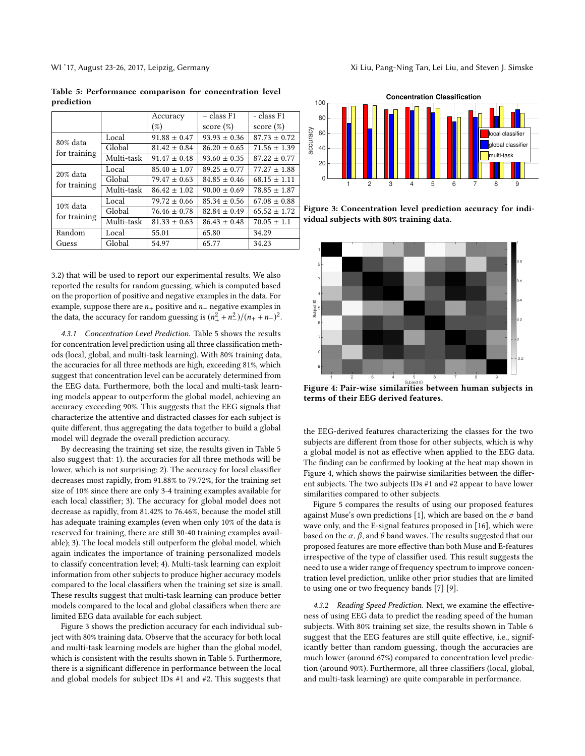<span id="page-5-0"></span>Table 5: Performance comparison for concentration level prediction

|              |            | Accuracy         | + class F1       | - class F1       |
|--------------|------------|------------------|------------------|------------------|
|              |            | $(\%)$           | score $(\%)$     | score $(\%)$     |
| 80% data     | Local      | $91.88 \pm 0.47$ | $93.93 \pm 0.36$ | $87.73 \pm 0.72$ |
| for training | Global     | $81.42 \pm 0.84$ | $86.20 \pm 0.65$ | $71.56 \pm 1.39$ |
|              | Multi-task | $91.47 \pm 0.48$ | $93.60 \pm 0.35$ | $87.22 \pm 0.77$ |
| 20% data     | Local      | $85.40 \pm 1.07$ | $89.25 \pm 0.77$ | $77.27 \pm 1.88$ |
| for training | Global     | $79.47 \pm 0.63$ | $84.85 \pm 0.46$ | $68.15 \pm 1.11$ |
|              | Multi-task | $86.42 \pm 1.02$ | $90.00 \pm 0.69$ | $78.85 \pm 1.87$ |
| $10\%$ data  | Local      | $79.72 \pm 0.66$ | $85.34 \pm 0.56$ | $67.08 \pm 0.88$ |
| for training | Global     | $76.46 \pm 0.78$ | $82.84 \pm 0.49$ | $65.52 \pm 1.72$ |
|              | Multi-task | $81.33 \pm 0.63$ | $86.43 \pm 0.48$ | $70.05 \pm 1.1$  |
| Random       | Local      | 55.01            | 65.80            | 34.29            |
| Guess        | Global     | 54.97            | 65.77            | 34.23            |

[3.2\)](#page-2-2) that will be used to report our experimental results. We also reported the results for random guessing, which is computed based on the proportion of positive and negative examples in the data. For example, suppose there are  $n_+$  positive and  $n_−$  negative examples in the data, the accuracy for random guessing is  $(n_+^2 + n_-^2)/(n_+ + n_-)^2$ .

4.3.1 Concentration Level Prediction. Table [5](#page-5-0) shows the results for concentration level prediction using all three classification methods (local, global, and multi-task learning). With 80% training data, the accuracies for all three methods are high, exceeding 81%, which suggest that concentration level can be accurately determined from the EEG data. Furthermore, both the local and multi-task learning models appear to outperform the global model, achieving an accuracy exceeding 90%. This suggests that the EEG signals that characterize the attentive and distracted classes for each subject is quite different, thus aggregating the data together to build a global model will degrade the overall prediction accuracy.

By decreasing the training set size, the results given in Table [5](#page-5-0) also suggest that: 1). the accuracies for all three methods will be lower, which is not surprising; 2). The accuracy for local classifier decreases most rapidly, from 91.88% to 79.72%, for the training set size of 10% since there are only 3-4 training examples available for each local classifier; 3). The accuracy for global model does not decrease as rapidly, from 81.42% to 76.46%, because the model still has adequate training examples (even when only 10% of the data is reserved for training, there are still 30-40 training examples available); 3). The local models still outperform the global model, which again indicates the importance of training personalized models to classify concentration level; 4). Multi-task learning can exploit information from other subjects to produce higher accuracy models compared to the local classifiers when the training set size is small. These results suggest that multi-task learning can produce better models compared to the local and global classifiers when there are limited EEG data available for each subject.

Figure [3](#page-5-1) shows the prediction accuracy for each individual subject with 80% training data. Observe that the accuracy for both local and multi-task learning models are higher than the global model, which is consistent with the results shown in Table [5.](#page-5-0) Furthermore, there is a significant difference in performance between the local and global models for subject IDs #1 and #2. This suggests that

<span id="page-5-1"></span>

Figure 3: Concentration level prediction accuracy for individual subjects with 80% training data.

<span id="page-5-2"></span>

Figure 4: Pair-wise similarities between human subjects in terms of their EEG derived features.

the EEG-derived features characterizing the classes for the two subjects are different from those for other subjects, which is why a global model is not as effective when applied to the EEG data. The finding can be confirmed by looking at the heat map shown in Figure [4,](#page-5-2) which shows the pairwise similarities between the different subjects. The two subjects IDs #1 and #2 appear to have lower similarities compared to other subjects.

Figure [5](#page-6-0) compares the results of using our proposed features against Muse's own predictions [\[1\]](#page-7-13), which are based on the  $\sigma$  band wave only, and the E-signal features proposed in [\[16\]](#page-7-2), which were based on the  $\alpha$ ,  $\beta$ , and  $\theta$  band waves. The results suggested that our proposed features are more effective than both Muse and E-features irrespective of the type of classifier used. This result suggests the need to use a wider range of frequency spectrum to improve concentration level prediction, unlike other prior studies that are limited to using one or two frequency bands [\[7\]](#page-7-3) [\[9\]](#page-7-11).

4.3.2 Reading Speed Prediction. Next, we examine the effectiveness of using EEG data to predict the reading speed of the human subjects. With 80% training set size, the results shown in Table [6](#page-6-1) suggest that the EEG features are still quite effective, i.e., significantly better than random guessing, though the accuracies are much lower (around 67%) compared to concentration level prediction (around 90%). Furthermore, all three classifiers (local, global, and multi-task learning) are quite comparable in performance.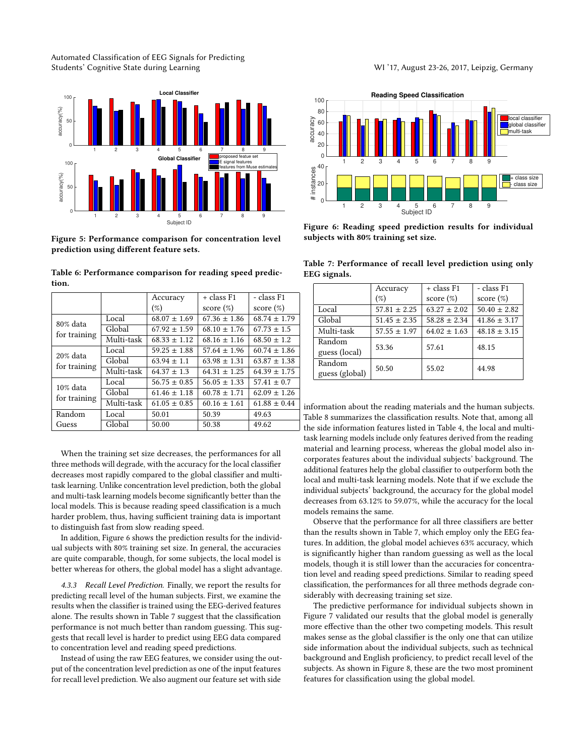Automated Classification of EEG Signals for Predicting Students' Cognitive State during Learning WI '17, August 23-26, 2017, Leipzig, Germany

<span id="page-6-0"></span>

Figure 5: Performance comparison for concentration level prediction using different feature sets.

|            | Accuracy         | + class F1       | - class F1       |
|------------|------------------|------------------|------------------|
|            | $(\%)$           | score $(\%)$     | score $(\%)$     |
| Local      | $68.07 \pm 1.69$ | $67.36 \pm 1.86$ | $68.74 \pm 1.79$ |
| Global     | $67.92 \pm 1.59$ | $68.10 \pm 1.76$ | $67.73 \pm 1.5$  |
| Multi-task | $68.33 \pm 1.12$ | $68.16 \pm 1.16$ | $68.50 \pm 1.2$  |
| Local      | $59.25 \pm 1.88$ | $57.64 \pm 1.96$ | $60.74 \pm 1.86$ |
| Global     | $63.94 \pm 1.1$  | $63.98 \pm 1.31$ | $63.87 \pm 1.38$ |
| Multi-task | $64.37 \pm 1.3$  | $64.31 \pm 1.25$ | $64.39 \pm 1.75$ |
| Local      | $56.75 \pm 0.85$ | $56.05 \pm 1.33$ | $57.41 \pm 0.7$  |
| Global     | $61.46 \pm 1.18$ | $60.78 \pm 1.71$ | $62.09 \pm 1.26$ |
| Multi-task | $61.05 \pm 0.85$ | $60.16 \pm 1.61$ | $61.88 \pm 0.44$ |
| Local      | 50.01            | 50.39            | 49.63            |
| Global     | 50.00            | 50.38            | 49.62            |
|            |                  |                  |                  |

<span id="page-6-1"></span>Table 6: Performance comparison for reading speed prediction.

When the training set size decreases, the performances for all three methods will degrade, with the accuracy for the local classifier decreases most rapidly compared to the global classifier and multitask learning. Unlike concentration level prediction, both the global and multi-task learning models become significantly better than the local models. This is because reading speed classification is a much harder problem, thus, having sufficient training data is important to distinguish fast from slow reading speed.

In addition, Figure [6](#page-6-2) shows the prediction results for the individual subjects with 80% training set size. In general, the accuracies are quite comparable, though, for some subjects, the local model is better whereas for others, the global model has a slight advantage.

4.3.3 Recall Level Prediction. Finally, we report the results for predicting recall level of the human subjects. First, we examine the results when the classifier is trained using the EEG-derived features alone. The results shown in Table [7](#page-6-3) suggest that the classification performance is not much better than random guessing. This suggests that recall level is harder to predict using EEG data compared to concentration level and reading speed predictions.

Instead of using the raw EEG features, we consider using the output of the concentration level prediction as one of the input features for recall level prediction. We also augment our feature set with side

<span id="page-6-2"></span>

Figure 6: Reading speed prediction results for individual subjects with 80% training set size.

<span id="page-6-3"></span>Table 7: Performance of recall level prediction using only EEG signals.

|                | Accuracy         | + class F1       | - class F1       |
|----------------|------------------|------------------|------------------|
|                | $(\%)$           | score $(\%)$     | score $(\%)$     |
| Local          | $57.81 \pm 2.25$ | $63.27 \pm 2.02$ | $50.40 \pm 2.82$ |
| Global         | $51.45 \pm 2.35$ | $58.28 \pm 2.34$ | $41.86 \pm 3.17$ |
| Multi-task     | $57.55 \pm 1.97$ | $64.02 \pm 1.63$ | $48.18 \pm 3.15$ |
| Random         | 53.36            | 57.61            | 48.15            |
| guess (local)  |                  |                  |                  |
| Random         | 50.50            | 55.02            | 44.98            |
| guess (global) |                  |                  |                  |

information about the reading materials and the human subjects. Table [8](#page-7-19) summarizes the classification results. Note that, among all the side information features listed in Table [4,](#page-4-0) the local and multitask learning models include only features derived from the reading material and learning process, whereas the global model also incorporates features about the individual subjects' background. The additional features help the global classifier to outperform both the local and multi-task learning models. Note that if we exclude the individual subjects' background, the accuracy for the global model decreases from 63.12% to 59.07%, while the accuracy for the local models remains the same.

Observe that the performance for all three classifiers are better than the results shown in Table [7,](#page-6-3) which employ only the EEG features. In addition, the global model achieves 63% accuracy, which is significantly higher than random guessing as well as the local models, though it is still lower than the accuracies for concentration level and reading speed predictions. Similar to reading speed classification, the performances for all three methods degrade considerably with decreasing training set size.

The predictive performance for individual subjects shown in Figure [7](#page-7-20) validated our results that the global model is generally more effective than the other two competing models. This result makes sense as the global classifier is the only one that can utilize side information about the individual subjects, such as technical background and English proficiency, to predict recall level of the subjects. As shown in Figure [8,](#page-7-21) these are the two most prominent features for classification using the global model.